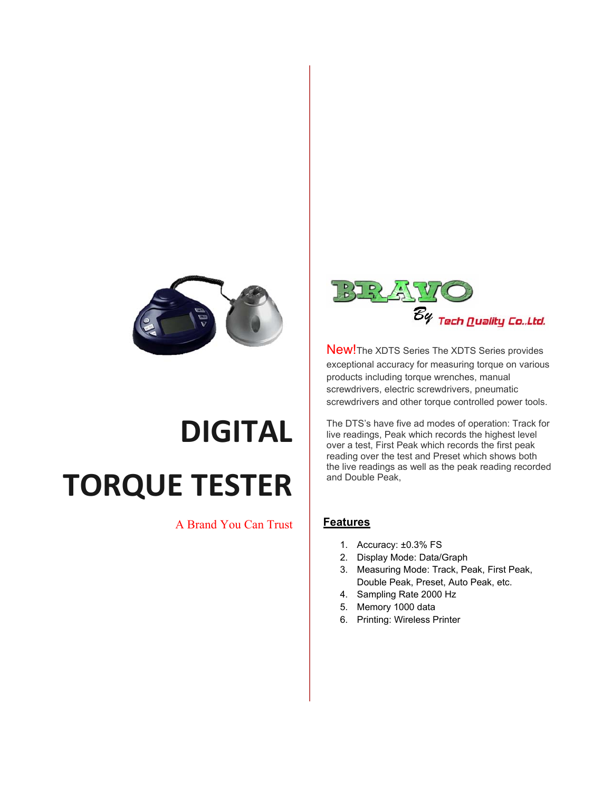

## **DIGITAL TORQUE TESTER**

## A Brand You Can Trust



New!The XDTS Series The XDTS Series provides exceptional accuracy for measuring torque on various products including torque wrenches, manual screwdrivers, electric screwdrivers, pneumatic screwdrivers and other torque controlled power tools.

The DTS's have five ad modes of operation: Track for live readings, Peak which records the highest level over a test, First Peak which records the first peak reading over the test and Preset which shows both the live readings as well as the peak reading recorded and Double Peak,

## **Features**

- 1. Accuracy: ±0.3% FS
- 2. Display Mode: Data/Graph
- 3. Measuring Mode: Track, Peak, First Peak, Double Peak, Preset, Auto Peak, etc.
- 4. Sampling Rate 2000 Hz
- 5. Memory 1000 data
- 6. Printing: Wireless Printer